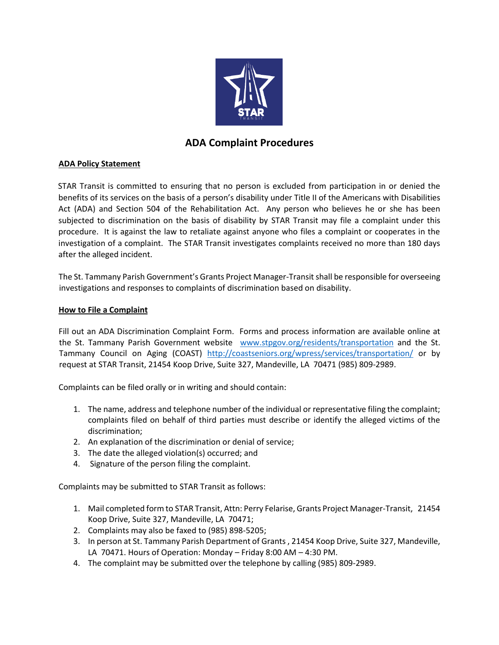

# **ADA Complaint Procedures**

# **ADA Policy Statement**

STAR Transit is committed to ensuring that no person is excluded from participation in or denied the benefits of its services on the basis of a person's disability under Title II of the Americans with Disabilities Act (ADA) and Section 504 of the Rehabilitation Act. Any person who believes he or she has been subjected to discrimination on the basis of disability by STAR Transit may file a complaint under this procedure. It is against the law to retaliate against anyone who files a complaint or cooperates in the investigation of a complaint. The STAR Transit investigates complaints received no more than 180 days after the alleged incident.

The St. Tammany Parish Government's Grants Project Manager-Transitshall be responsible for overseeing investigations and responses to complaints of discrimination based on disability.

## **How to File a Complaint**

Fill out an ADA Discrimination Complaint Form. Forms and process information are available online at the St. Tammany Parish Government website [www.stpgov.org/residents/transportation](http://www.stpgov.org/residents/transportation) and the St. Tammany Council on Aging (COAST) <http://coastseniors.org/wpress/services/transportation/> or by request at STAR Transit, 21454 Koop Drive, Suite 327, Mandeville, LA 70471 (985) 809-2989.

Complaints can be filed orally or in writing and should contain:

- 1. The name, address and telephone number of the individual or representative filing the complaint; complaints filed on behalf of third parties must describe or identify the alleged victims of the discrimination;
- 2. An explanation of the discrimination or denial of service;
- 3. The date the alleged violation(s) occurred; and
- 4. Signature of the person filing the complaint.

Complaints may be submitted to STAR Transit as follows:

- 1. Mail completed form to STAR Transit, Attn: Perry Felarise, Grants Project Manager-Transit, 21454 Koop Drive, Suite 327, Mandeville, LA 70471;
- 2. Complaints may also be faxed to (985) 898-5205;
- 3. In person at St. Tammany Parish Department of Grants , 21454 Koop Drive, Suite 327, Mandeville, LA 70471. Hours of Operation: Monday – Friday 8:00 AM – 4:30 PM.
- 4. The complaint may be submitted over the telephone by calling (985) 809-2989.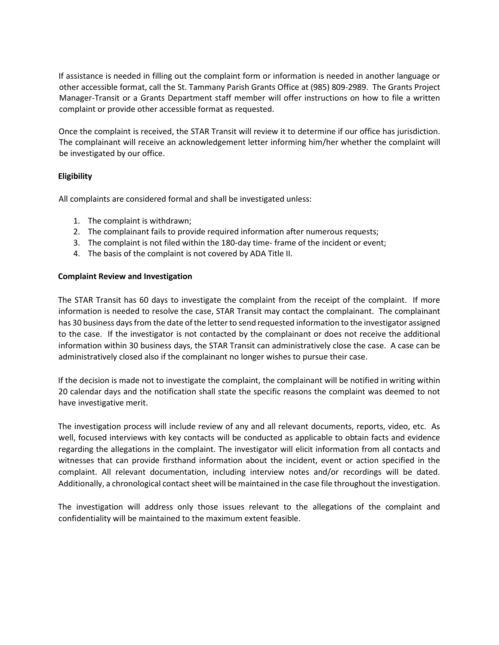If assistance is needed in filling out the complaint form or information is needed in another language or other accessible format, call the St. Tammany Parish Grants Office at (985) 809-2989. The Grants Project Manager-Transit or a Grants Department staff member will offer instructions on how to file a written complaint or provide other accessible format as requested.

Once the complaint is received, the STAR Transit will review it to determine if our office has jurisdiction. The complainant will receive an acknowledgement letter informing him/her whether the complaint will be investigated by our office.

### **Eligibility**

All complaints are considered formal and shall be investigated unless:

- 1. The complaint is withdrawn;
- 2. The complainant fails to provide required information after numerous requests;
- 3. The complaint is not filed within the 180-day time- frame of the incident or event;
- 4. The basis of the complaint is not covered by ADA Title II.

### **Complaint Review and Investigation**

The STAR Transit has 60 days to investigate the complaint from the receipt of the complaint. If more information is needed to resolve the case, STAR Transit may contact the complainant. The complainant has 30 business days from the date of the letter to send requested information to the investigator assigned to the case. If the investigator is not contacted by the complainant or does not receive the additional information within 30 business days, the STAR Transit can administratively close the case. A case can be administratively closed also if the complainant no longer wishes to pursue their case.

If the decision is made not to investigate the complaint, the complainant will be notified in writing within 20 calendar days and the notification shall state the specific reasons the complaint was deemed to not have investigative merit.

The investigation process will include review of any and all relevant documents, reports, video, etc. As well, focused interviews with key contacts will be conducted as applicable to obtain facts and evidence regarding the allegations in the complaint. The investigator will elicit information from all contacts and witnesses that can provide firsthand information about the incident, event or action specified in the complaint. All relevant documentation, including interview notes and/or recordings will be dated. Additionally, a chronological contact sheet will be maintained in the case file throughout the investigation.

The investigation will address only those issues relevant to the allegations of the complaint and confidentiality will be maintained to the maximum extent feasible.